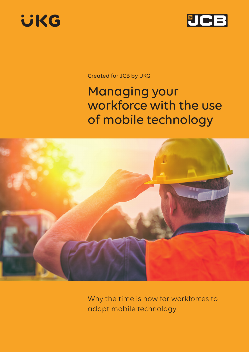



Created for JCB by UKG

## Managing your workforce with the use of mobile technology



Why the time is now for workforces to adopt mobile technology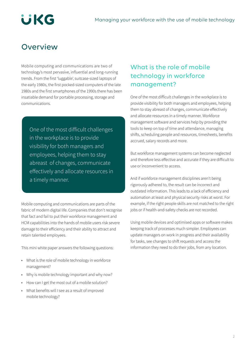# **UKG**

## **Overview**

Mobile computing and communications are two of technology's most pervasive, influential and long-running trends. From the first 'luggable', suitcase-sized laptops of the early 1980s, the first pocked-sized computers of the late 1980s and the first smartphones of the 1990s there has been insatiable demand for portable processing, storage and communications.

One of the most difficult challenges in the workplace is to provide visibility for both managers and employees, helping them to stay abreast of changes, communicate effectively and allocate resources in a timely manner.

Mobile computing and communications are parts of the fabric of modern digital life. Companies that don't recognise that fact and fail to put their workforce management and HCM capabilities into the hands of mobile users risk severe damage to their efficiency and their ability to attract and retain talented employees.

This mini white paper answers the following questions:

- What is the role of mobile technology in workforce management?
- Why is mobile technology important and why now?
- How can I get the most out of a mobile solution?
- What benefits will I see as a result of improved mobile technology?

### What is the role of mobile technology in workforce management?

One of the most difficult challenges in the workplace is to provide visibility for both managers and employees, helping them to stay abreast of changes, communicate effectively and allocate resources in a timely manner. Workforce management software and services help by providing the tools to keep on top of time and attendance, managing shifts, scheduling people and resources, timesheets, benefits accrued, salary records and more.

But workforce management systems can become neglected and therefore less effective and accurate if they are difficult to use or inconvenient to access.

And if workforce management disciplines aren't being rigorously adhered to, the result can be incorrect and outdated information. This leads to a lack of efficiency and automation at least and physical security risks at worst. For example, if the right people skills are not matched to the right jobs or if health-and-safety checks are not recorded.

Using mobile devices and optimised apps or software makes keeping track of processes much simpler. Employees can update managers on work in progress and their availability for tasks, see changes to shift requests and access the information they need to do their jobs, from any location.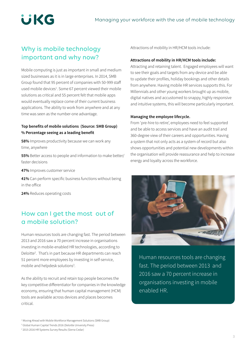## **UKG**

### Why is mobile technology important and why now?

Mobile computing is just as important in small and medium sized businesses as it is in large enterprises. In 2014, SMB Group found that 95 percent of companies with 50-999 staff used mobile devices<sup>1</sup>. Some 67 percent viewed their mobile solutions as critical and 55 percent felt that mobile apps would eventually replace come of their current business applications. The ability to work from anywhere and at any time was seen as the number-one advantage.

#### **Top benefits of mobile solutions (Source: SMB Group) % Percentage seeing as a leading benefit**

**58%** Improves productivity because we can work any time, anywhere

**55%** Better access to people and information to make better/ faster decisions

**47%** Improves customer service

**41%** Can perform specific business functions without being in the office

**24%** Reduces operating costs

### How can I get the most out of a mobile solution?

Human resources tools are changing fast. The period between 2013 and 2016 saw a 70 percent increase in organisations investing in mobile-enabled HR technologies, according to Deloitte<sup>2</sup>. That's in part because HR departments can reach 51 percent more employees by investing in self-service, mobile and helpdesk solutions<sup>3</sup>.

As the ability to recruit and retain top people becomes the key competitive differentiator for companies in the knowledge economy, ensuring that human capital management (HCM) tools are available across devices and places becomes critical.

<sup>1</sup> Moving Ahead with Mobile Workforce Management Solutions (SMB Group)

3 2015-2016 HR Systems Survey Results (Sierra-Cedar)

Attractions of mobility in HR/HCM tools include:

#### **Attractions of mobility in HR/HCM tools include:**

Attracting and retaining talent. Engaged employees will want to see their goals and targets from any device and be able to update their profiles, holiday bookings and other details from anywhere. Having mobile HR services supports this. For Millennials and other young workers brought up as mobile, digital natives and accustomed to snappy, highly responsive and intuitive systems, this will become particularly important.

#### **Managing the employee lifecycle.**

From 'pre-hire to retire', employees need to feel supported and be able to access services and have an audit trail and 360-degree view of their careers and opportunities. Having a system that not only acts as a system of record but also shows opportunities and potential new developments within the organisation will provide reassurance and help to increase energy and loyalty across the workforce.



Human resources tools are changing fast. The period between 2013 and 2016 saw a 70 percent increase in organisations investing in mobile enabled HR.

<sup>2</sup> Global Human Capital Trends 2016 (Deloitte University Press)